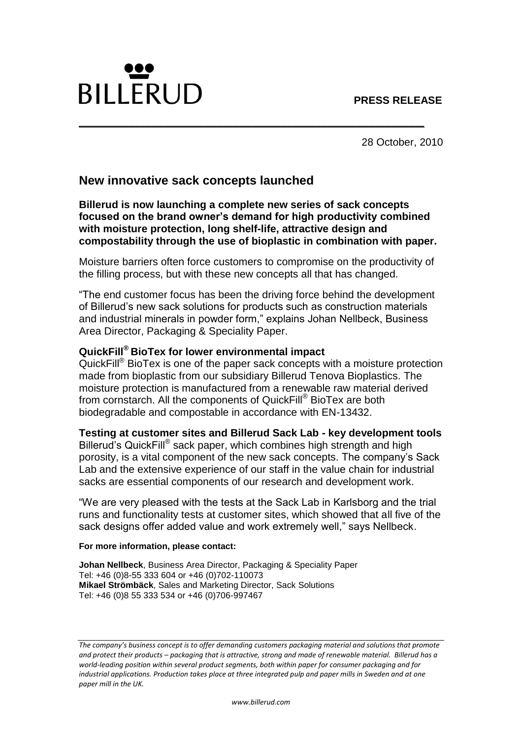

28 October, 2010

# **New innovative sack concepts launched**

**Billerud is now launching a complete new series of sack concepts focused on the brand owner's demand for high productivity combined with moisture protection, long shelf-life, attractive design and compostability through the use of bioplastic in combination with paper.**

**\_\_\_\_\_\_\_\_\_\_\_\_\_\_\_\_\_\_\_\_\_\_\_\_\_\_\_\_\_\_\_\_\_\_\_\_\_\_\_\_\_\_\_\_\_\_\_\_\_\_\_\_\_\_\_\_\_\_\_** 

Moisture barriers often force customers to compromise on the productivity of the filling process, but with these new concepts all that has changed.

"The end customer focus has been the driving force behind the development of Billerud's new sack solutions for products such as construction materials and industrial minerals in powder form," explains Johan Nellbeck, Business Area Director, Packaging & Speciality Paper.

## **QuickFill® BioTex for lower environmental impact**

QuickFill® BioTex is one of the paper sack concepts with a moisture protection made from bioplastic from our subsidiary Billerud Tenova Bioplastics. The moisture protection is manufactured from a renewable raw material derived from cornstarch. All the components of QuickFill® BioTex are both biodegradable and compostable in accordance with EN-13432.

### **Testing at customer sites and Billerud Sack Lab - key development tools**

Billerud's QuickFill® sack paper, which combines high strength and high porosity, is a vital component of the new sack concepts. The company's Sack Lab and the extensive experience of our staff in the value chain for industrial sacks are essential components of our research and development work.

"We are very pleased with the tests at the Sack Lab in Karlsborg and the trial runs and functionality tests at customer sites, which showed that all five of the sack designs offer added value and work extremely well," says Nellbeck.

#### **For more information, please contact:**

**Johan Nellbeck**, Business Area Director, Packaging & Speciality Paper Tel: +46 (0)8-55 333 604 or +46 (0)702-110073 **Mikael Strömbäck**, Sales and Marketing Director, Sack Solutions Tel: +46 (0)8 55 333 534 or +46 (0)706-997467

*The company's business concept is to offer demanding customers packaging material and solutions that promote and protect their products – packaging that is attractive, strong and made of renewable material. Billerud has a world-leading position within several product segments, both within paper for consumer packaging and for industrial applications. Production takes place at three integrated pulp and paper mills in Sweden and at one paper mill in the UK.*